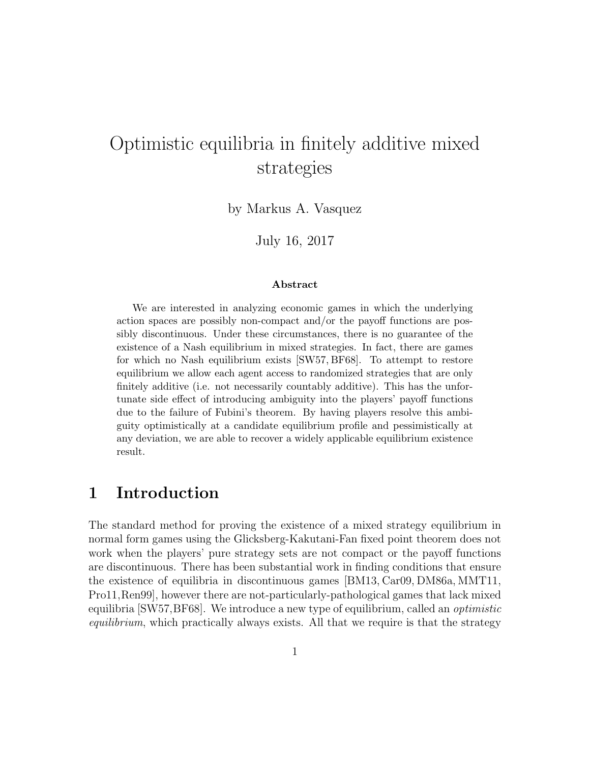# Optimistic equilibria in finitely additive mixed strategies

by Markus A. Vasquez

July 16, 2017

#### Abstract

We are interested in analyzing economic games in which the underlying action spaces are possibly non-compact and/or the payoff functions are possibly discontinuous. Under these circumstances, there is no guarantee of the existence of a Nash equilibrium in mixed strategies. In fact, there are games for which no Nash equilibrium exists [SW57, BF68]. To attempt to restore equilibrium we allow each agent access to randomized strategies that are only finitely additive (i.e. not necessarily countably additive). This has the unfortunate side effect of introducing ambiguity into the players' payoff functions due to the failure of Fubini's theorem. By having players resolve this ambiguity optimistically at a candidate equilibrium profile and pessimistically at any deviation, we are able to recover a widely applicable equilibrium existence result.

#### 1 Introduction

The standard method for proving the existence of a mixed strategy equilibrium in normal form games using the Glicksberg-Kakutani-Fan fixed point theorem does not work when the players' pure strategy sets are not compact or the payoff functions are discontinuous. There has been substantial work in finding conditions that ensure the existence of equilibria in discontinuous games [BM13, Car09, DM86a, MMT11, Pro11,Ren99], however there are not-particularly-pathological games that lack mixed equilibria [SW57, BF68]. We introduce a new type of equilibrium, called an *optimistic* equilibrium, which practically always exists. All that we require is that the strategy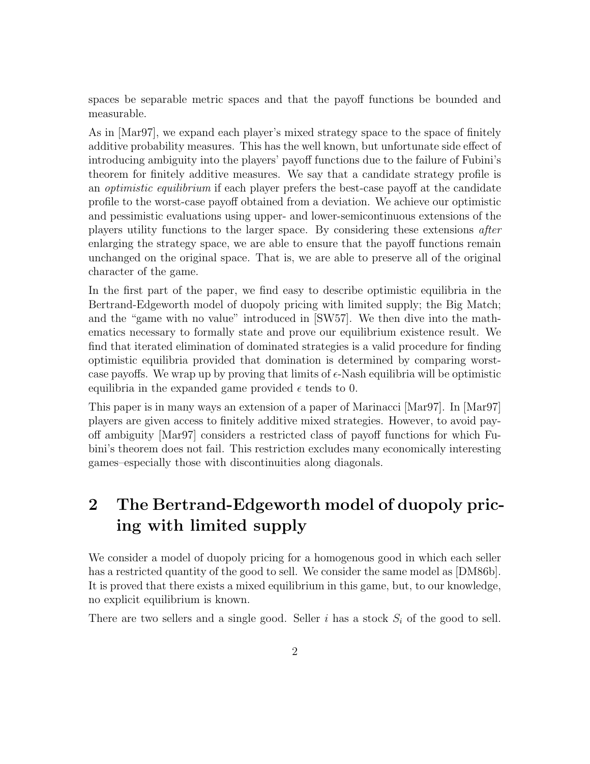spaces be separable metric spaces and that the payoff functions be bounded and measurable.

As in [Mar97], we expand each player's mixed strategy space to the space of finitely additive probability measures. This has the well known, but unfortunate side effect of introducing ambiguity into the players' payoff functions due to the failure of Fubini's theorem for finitely additive measures. We say that a candidate strategy profile is an *optimistic equilibrium* if each player prefers the best-case payoff at the candidate profile to the worst-case payoff obtained from a deviation. We achieve our optimistic and pessimistic evaluations using upper- and lower-semicontinuous extensions of the players utility functions to the larger space. By considering these extensions after enlarging the strategy space, we are able to ensure that the payoff functions remain unchanged on the original space. That is, we are able to preserve all of the original character of the game.

In the first part of the paper, we find easy to describe optimistic equilibria in the Bertrand-Edgeworth model of duopoly pricing with limited supply; the Big Match; and the "game with no value" introduced in [SW57]. We then dive into the mathematics necessary to formally state and prove our equilibrium existence result. We find that iterated elimination of dominated strategies is a valid procedure for finding optimistic equilibria provided that domination is determined by comparing worstcase payoffs. We wrap up by proving that limits of  $\epsilon$ -Nash equilibria will be optimistic equilibria in the expanded game provided  $\epsilon$  tends to 0.

This paper is in many ways an extension of a paper of Marinacci [Mar97]. In [Mar97] players are given access to finitely additive mixed strategies. However, to avoid payoff ambiguity [Mar97] considers a restricted class of payoff functions for which Fubini's theorem does not fail. This restriction excludes many economically interesting games–especially those with discontinuities along diagonals.

## 2 The Bertrand-Edgeworth model of duopoly pricing with limited supply

We consider a model of duopoly pricing for a homogenous good in which each seller has a restricted quantity of the good to sell. We consider the same model as [DM86b]. It is proved that there exists a mixed equilibrium in this game, but, to our knowledge, no explicit equilibrium is known.

There are two sellers and a single good. Seller i has a stock  $S_i$  of the good to sell.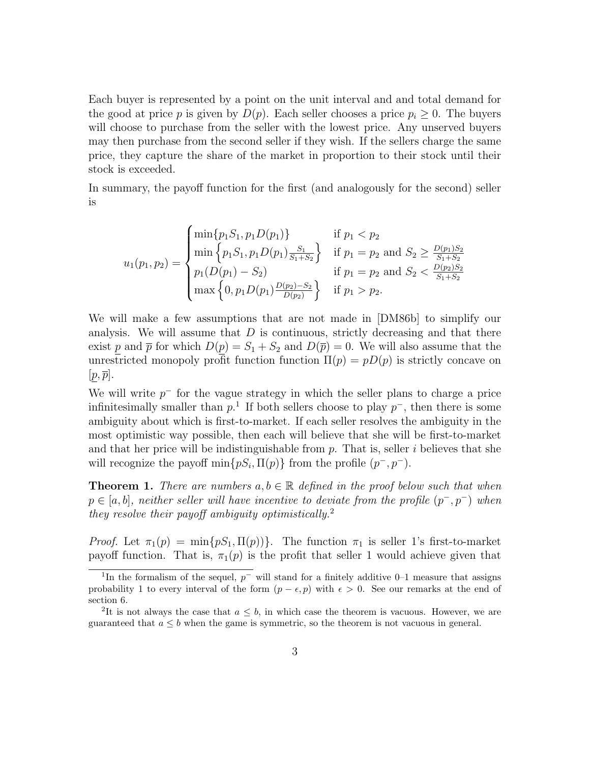Each buyer is represented by a point on the unit interval and and total demand for the good at price p is given by  $D(p)$ . Each seller chooses a price  $p_i \geq 0$ . The buyers will choose to purchase from the seller with the lowest price. Any unserved buyers may then purchase from the second seller if they wish. If the sellers charge the same price, they capture the share of the market in proportion to their stock until their stock is exceeded.

In summary, the payoff function for the first (and analogously for the second) seller is

$$
u_1(p_1, p_2) = \begin{cases} \min\{p_1 S_1, p_1 D(p_1)\} & \text{if } p_1 < p_2\\ \min\{p_1 S_1, p_1 D(p_1) \frac{S_1}{S_1 + S_2}\} & \text{if } p_1 = p_2 \text{ and } S_2 \ge \frac{D(p_1)S_2}{S_1 + S_2}\\ p_1(D(p_1) - S_2) & \text{if } p_1 = p_2 \text{ and } S_2 < \frac{D(p_2)S_2}{S_1 + S_2}\\ \max\left\{0, p_1 D(p_1) \frac{D(p_2) - S_2}{D(p_2)}\right\} & \text{if } p_1 > p_2. \end{cases}
$$

We will make a few assumptions that are not made in [DM86b] to simplify our analysis. We will assume that  $D$  is continuous, strictly decreasing and that there exist p and  $\bar{p}$  for which  $D(p) = S_1 + S_2$  and  $D(\bar{p}) = 0$ . We will also assume that the unrestricted monopoly profit function function  $\Pi(p) = pD(p)$  is strictly concave on  $[p, \overline{p}].$ 

We will write  $p^-$  for the vague strategy in which the seller plans to charge a price infinitesimally smaller than  $p<sup>-1</sup>$ . If both sellers choose to play  $p<sup>-1</sup>$ , then there is some ambiguity about which is first-to-market. If each seller resolves the ambiguity in the most optimistic way possible, then each will believe that she will be first-to-market and that her price will be indistinguishable from  $p$ . That is, seller i believes that she will recognize the payoff  $\min\{pS_i, \Pi(p)\}\$  from the profile  $(p^-, p^-)$ .

**Theorem 1.** There are numbers  $a, b \in \mathbb{R}$  defined in the proof below such that when  $p \in [a, b]$ , neither seller will have incentive to deviate from the profile  $(p^-, p^-)$  when they resolve their payoff ambiguity optimistically.<sup>2</sup>

Proof. Let  $\pi_1(p) = \min\{pS_1, \Pi(p)\}\$ . The function  $\pi_1$  is seller 1's first-to-market payoff function. That is,  $\pi_1(p)$  is the profit that seller 1 would achieve given that

<sup>&</sup>lt;sup>1</sup>In the formalism of the sequel,  $p^-$  will stand for a finitely additive 0–1 measure that assigns probability 1 to every interval of the form  $(p - \epsilon, p)$  with  $\epsilon > 0$ . See our remarks at the end of section 6.

<sup>&</sup>lt;sup>2</sup>It is not always the case that  $a \leq b$ , in which case the theorem is vacuous. However, we are guaranteed that  $a \leq b$  when the game is symmetric, so the theorem is not vacuous in general.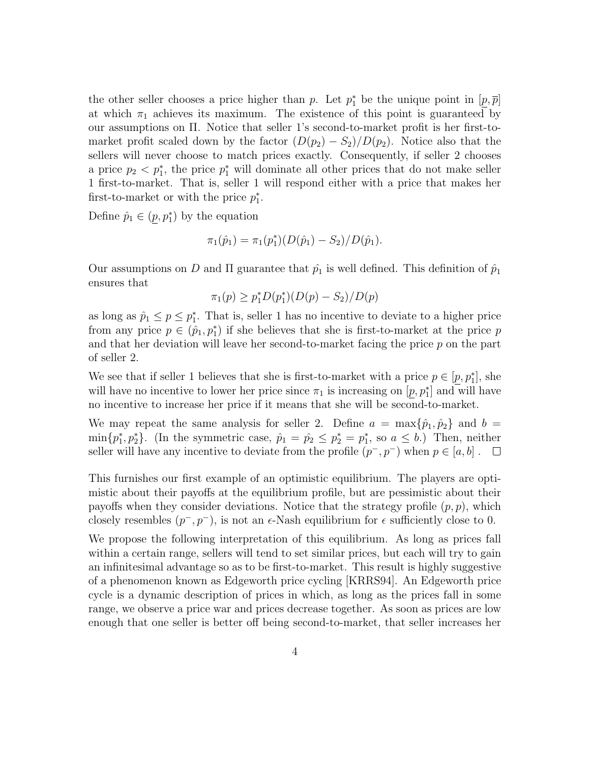the other seller chooses a price higher than p. Let  $p_1^*$  be the unique point in  $[p, \overline{p}]$ at which  $\pi_1$  achieves its maximum. The existence of this point is guaranteed by our assumptions on Π. Notice that seller 1's second-to-market profit is her first-tomarket profit scaled down by the factor  $(D(p_2) - S_2)/D(p_2)$ . Notice also that the sellers will never choose to match prices exactly. Consequently, if seller 2 chooses a price  $p_2 < p_1^*$ , the price  $p_1^*$  will dominate all other prices that do not make seller 1 first-to-market. That is, seller 1 will respond either with a price that makes her first-to-market or with the price  $p_1^*$ .

Define  $\hat{p}_1 \in (p, p_1^*)$  by the equation

$$
\pi_1(\hat{p}_1) = \pi_1(p_1^*)(D(\hat{p}_1) - S_2)/D(\hat{p}_1).
$$

Our assumptions on D and  $\Pi$  guarantee that  $\hat{p}_1$  is well defined. This definition of  $\hat{p}_1$ ensures that

$$
\pi_1(p) \ge p_1^* D(p_1^*) (D(p) - S_2) / D(p)
$$

as long as  $\hat{p}_1 \leq p \leq p_1^*$ . That is, seller 1 has no incentive to deviate to a higher price from any price  $p \in (\hat{p}_1, p_1^*)$  if she believes that she is first-to-market at the price p and that her deviation will leave her second-to-market facing the price  $p$  on the part of seller 2.

We see that if seller 1 believes that she is first-to-market with a price  $p \in [p, p_1^*]$ , she will have no incentive to lower her price since  $\pi_1$  is increasing on  $[p, p_1^*]$  and will have no incentive to increase her price if it means that she will be second-to-market.

We may repeat the same analysis for seller 2. Define  $a = \max\{\hat{p}_1, \hat{p}_2\}$  and  $b =$  $\min\{p_1^*, p_2^*\}.$  (In the symmetric case,  $\hat{p}_1 = \hat{p}_2 \leq p_2^* = p_1^*$ , so  $a \leq b$ .) Then, neither seller will have any incentive to deviate from the profile  $(p^-, p^-)$  when  $p \in [a, b]$ .  $\Box$ 

This furnishes our first example of an optimistic equilibrium. The players are optimistic about their payoffs at the equilibrium profile, but are pessimistic about their payoffs when they consider deviations. Notice that the strategy profile  $(p, p)$ , which closely resembles  $(p^-, p^-)$ , is not an  $\epsilon$ -Nash equilibrium for  $\epsilon$  sufficiently close to 0.

We propose the following interpretation of this equilibrium. As long as prices fall within a certain range, sellers will tend to set similar prices, but each will try to gain an infinitesimal advantage so as to be first-to-market. This result is highly suggestive of a phenomenon known as Edgeworth price cycling [KRRS94]. An Edgeworth price cycle is a dynamic description of prices in which, as long as the prices fall in some range, we observe a price war and prices decrease together. As soon as prices are low enough that one seller is better off being second-to-market, that seller increases her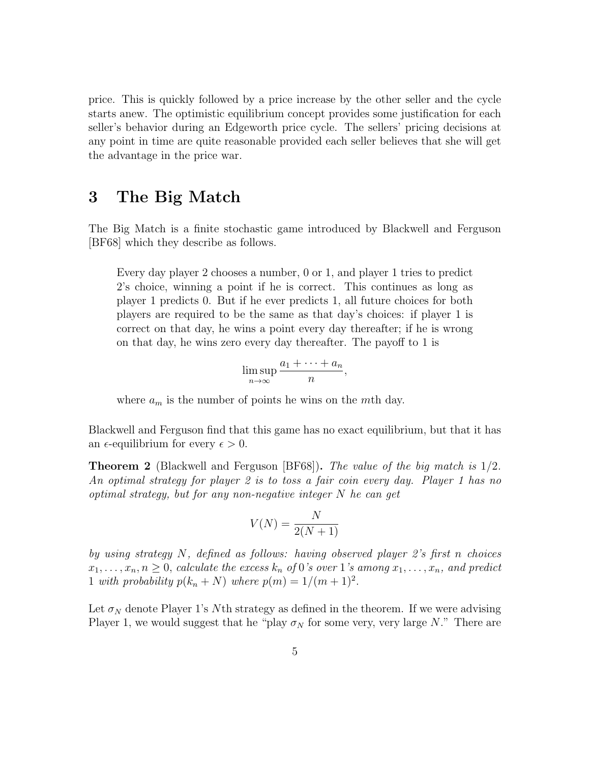price. This is quickly followed by a price increase by the other seller and the cycle starts anew. The optimistic equilibrium concept provides some justification for each seller's behavior during an Edgeworth price cycle. The sellers' pricing decisions at any point in time are quite reasonable provided each seller believes that she will get the advantage in the price war.

#### 3 The Big Match

The Big Match is a finite stochastic game introduced by Blackwell and Ferguson [BF68] which they describe as follows.

Every day player 2 chooses a number, 0 or 1, and player 1 tries to predict 2's choice, winning a point if he is correct. This continues as long as player 1 predicts 0. But if he ever predicts 1, all future choices for both players are required to be the same as that day's choices: if player 1 is correct on that day, he wins a point every day thereafter; if he is wrong on that day, he wins zero every day thereafter. The payoff to 1 is

$$
\limsup_{n\to\infty}\frac{a_1+\cdots+a_n}{n},
$$

where  $a_m$  is the number of points he wins on the mth day.

Blackwell and Ferguson find that this game has no exact equilibrium, but that it has an  $\epsilon$ -equilibrium for every  $\epsilon > 0$ .

Theorem 2 (Blackwell and Ferguson [BF68]). The value of the big match is 1/2. An optimal strategy for player 2 is to toss a fair coin every day. Player 1 has no optimal strategy, but for any non-negative integer  $N$  he can get

$$
V(N) = \frac{N}{2(N+1)}
$$

by using strategy N, defined as follows: having observed player 2's first n choices  $x_1, \ldots, x_n, n \geq 0$ , calculate the excess  $k_n$  of 0's over 1's among  $x_1, \ldots, x_n$ , and predict 1 with probability  $p(k_n + N)$  where  $p(m) = 1/(m + 1)^2$ .

Let  $\sigma_N$  denote Player 1's Nth strategy as defined in the theorem. If we were advising Player 1, we would suggest that he "play  $\sigma_N$  for some very, very large N." There are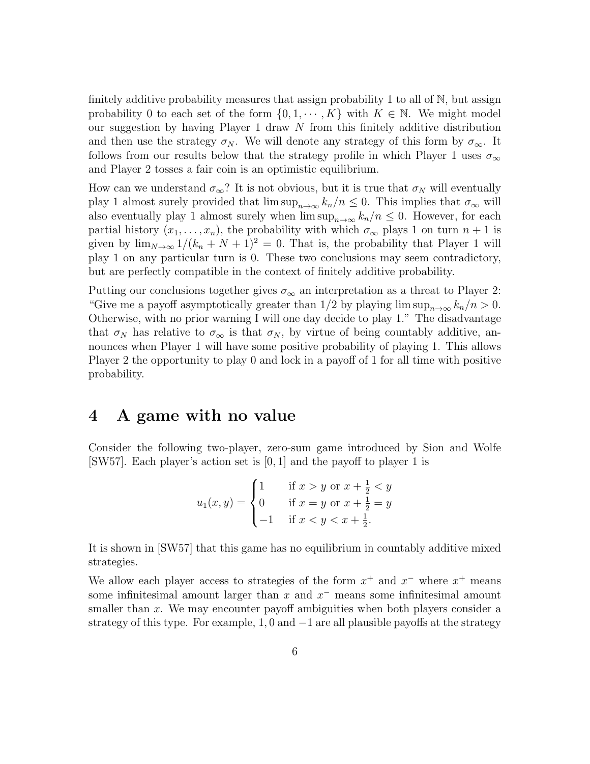finitely additive probability measures that assign probability 1 to all of N, but assign probability 0 to each set of the form  $\{0, 1, \dots, K\}$  with  $K \in \mathbb{N}$ . We might model our suggestion by having Player 1 draw N from this finitely additive distribution and then use the strategy  $\sigma_N$ . We will denote any strategy of this form by  $\sigma_\infty$ . It follows from our results below that the strategy profile in which Player 1 uses  $\sigma_{\infty}$ and Player 2 tosses a fair coin is an optimistic equilibrium.

How can we understand  $\sigma_{\infty}$ ? It is not obvious, but it is true that  $\sigma_N$  will eventually play 1 almost surely provided that  $\limsup_{n\to\infty} k_n/n \leq 0$ . This implies that  $\sigma_{\infty}$  will also eventually play 1 almost surely when  $\limsup_{n\to\infty} k_n/n \leq 0$ . However, for each partial history  $(x_1, \ldots, x_n)$ , the probability with which  $\sigma_{\infty}$  plays 1 on turn  $n + 1$  is given by  $\lim_{N\to\infty} 1/(k_n + N + 1)^2 = 0$ . That is, the probability that Player 1 will play 1 on any particular turn is 0. These two conclusions may seem contradictory, but are perfectly compatible in the context of finitely additive probability.

Putting our conclusions together gives  $\sigma_{\infty}$  an interpretation as a threat to Player 2: "Give me a payoff asymptotically greater than  $1/2$  by playing lim sup $_{n\to\infty} k_n/n > 0$ . Otherwise, with no prior warning I will one day decide to play 1." The disadvantage that  $\sigma_N$  has relative to  $\sigma_\infty$  is that  $\sigma_N$ , by virtue of being countably additive, announces when Player 1 will have some positive probability of playing 1. This allows Player 2 the opportunity to play 0 and lock in a payoff of 1 for all time with positive probability.

#### 4 A game with no value

Consider the following two-player, zero-sum game introduced by Sion and Wolfe [SW57]. Each player's action set is [0, 1] and the payoff to player 1 is

$$
u_1(x, y) = \begin{cases} 1 & \text{if } x > y \text{ or } x + \frac{1}{2} < y \\ 0 & \text{if } x = y \text{ or } x + \frac{1}{2} = y \\ -1 & \text{if } x < y < x + \frac{1}{2}. \end{cases}
$$

It is shown in [SW57] that this game has no equilibrium in countably additive mixed strategies.

We allow each player access to strategies of the form  $x^+$  and  $x^-$  where  $x^+$  means some infinitesimal amount larger than  $x$  and  $x^-$  means some infinitesimal amount smaller than x. We may encounter payoff ambiguities when both players consider a strategy of this type. For example,  $1, 0$  and  $-1$  are all plausible payoffs at the strategy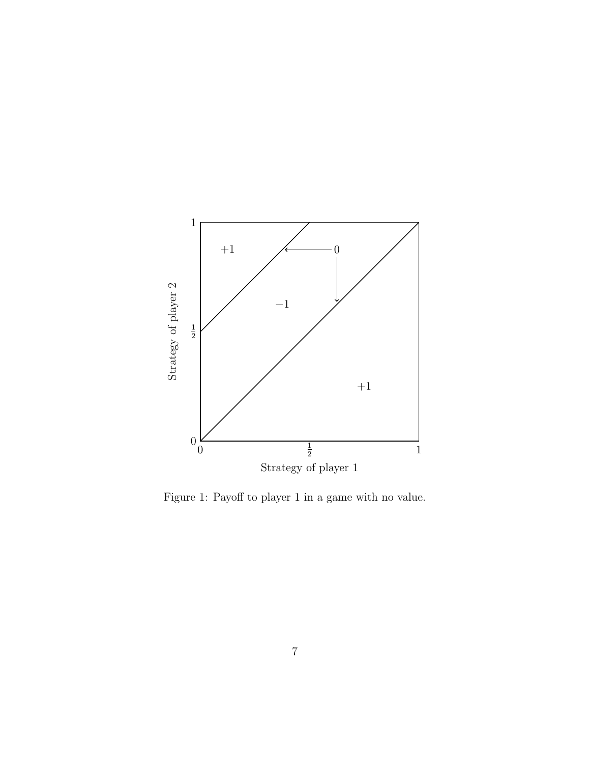

Figure 1: Payoff to player 1 in a game with no value.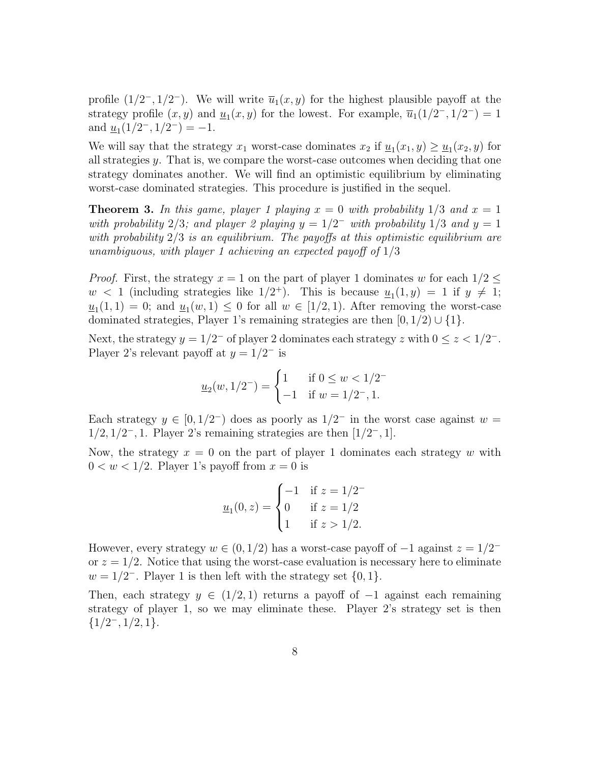profile  $(1/2^{-}, 1/2^{-})$ . We will write  $\overline{u}_{1}(x, y)$  for the highest plausible payoff at the strategy profile  $(x, y)$  and  $\underline{u}_1(x, y)$  for the lowest. For example,  $\overline{u}_1(1/2^-, 1/2^-) = 1$ and  $\underline{u}_1(1/2^-, 1/2^-) = -1$ .

We will say that the strategy  $x_1$  worst-case dominates  $x_2$  if  $\underline{u}_1(x_1, y) \ge \underline{u}_1(x_2, y)$  for all strategies y. That is, we compare the worst-case outcomes when deciding that one strategy dominates another. We will find an optimistic equilibrium by eliminating worst-case dominated strategies. This procedure is justified in the sequel.

**Theorem 3.** In this game, player 1 playing  $x = 0$  with probability  $1/3$  and  $x = 1$ with probability 2/3; and player 2 playing  $y = 1/2^-$  with probability 1/3 and  $y = 1$ with probability  $2/3$  is an equilibrium. The payoffs at this optimistic equilibrium are unambiguous, with player 1 achieving an expected payoff of  $1/3$ 

*Proof.* First, the strategy  $x = 1$  on the part of player 1 dominates w for each  $1/2 \leq$  $w < 1$  (including strategies like  $1/2^+$ ). This is because  $u_1(1,y) = 1$  if  $y \neq 1$ ;  $\underline{u}_1(1,1) = 0$ ; and  $\underline{u}_1(w,1) \leq 0$  for all  $w \in [1/2,1)$ . After removing the worst-case dominated strategies, Player 1's remaining strategies are then  $[0, 1/2) \cup \{1\}$ .

Next, the strategy  $y = 1/2^-$  of player 2 dominates each strategy z with  $0 \le z < 1/2^-$ . Player 2's relevant payoff at  $y = 1/2^-$  is

$$
\underline{u}_2(w, 1/2^-) = \begin{cases} 1 & \text{if } 0 \le w < 1/2^- \\ -1 & \text{if } w = 1/2^-, 1. \end{cases}
$$

Each strategy  $y \in [0, 1/2^-)$  does as poorly as  $1/2^-$  in the worst case against  $w =$  $1/2, 1/2^-, 1$ . Player 2's remaining strategies are then  $\left[1/2^-, 1\right]$ .

Now, the strategy  $x = 0$  on the part of player 1 dominates each strategy w with  $0 < w < 1/2$ . Player 1's payoff from  $x = 0$  is

$$
\underline{u}_1(0,z) = \begin{cases}\n-1 & \text{if } z = 1/2^- \\
0 & \text{if } z = 1/2 \\
1 & \text{if } z > 1/2.\n\end{cases}
$$

However, every strategy  $w \in (0, 1/2)$  has a worst-case payoff of  $-1$  against  $z = 1/2^$ or  $z = 1/2$ . Notice that using the worst-case evaluation is necessary here to eliminate  $w = 1/2^-$ . Player 1 is then left with the strategy set  $\{0, 1\}$ .

Then, each strategy  $y \in (1/2, 1)$  returns a payoff of  $-1$  against each remaining strategy of player 1, so we may eliminate these. Player 2's strategy set is then  ${1/2, 1/2, 1}.$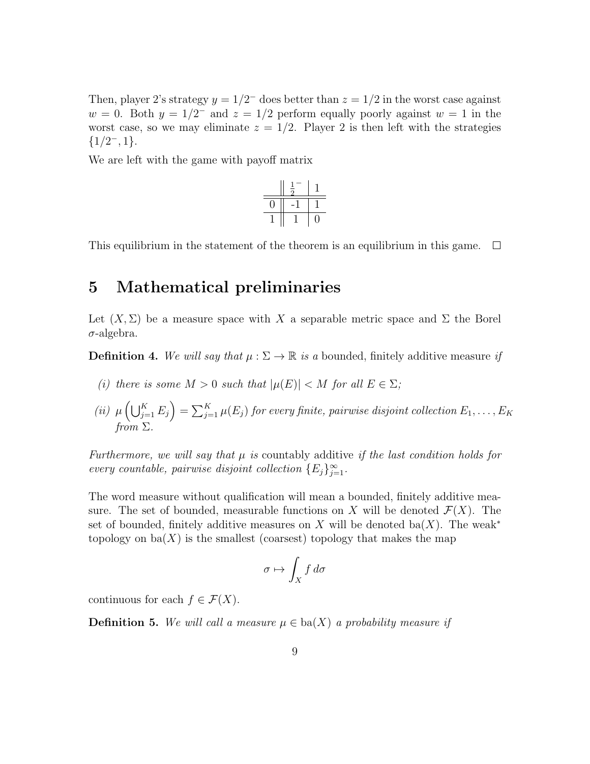Then, player 2's strategy  $y = 1/2^-$  does better than  $z = 1/2$  in the worst case against  $w = 0$ . Both  $y = 1/2^-$  and  $z = 1/2$  perform equally poorly against  $w = 1$  in the worst case, so we may eliminate  $z = 1/2$ . Player 2 is then left with the strategies  ${1/2, 1}.$ 

We are left with the game with payoff matrix

$$
\begin{array}{c|c|c|c} & \frac{1}{2} & 1 \\ \hline \hline 0 & -1 & 1 \\ \hline 1 & 1 & 0 \\ \end{array}
$$

This equilibrium in the statement of the theorem is an equilibrium in this game.  $\Box$ 

#### 5 Mathematical preliminaries

Let  $(X, \Sigma)$  be a measure space with X a separable metric space and  $\Sigma$  the Borel  $\sigma$ -algebra.

**Definition 4.** We will say that  $\mu : \Sigma \to \mathbb{R}$  is a bounded, finitely additive measure if

- (i) there is some  $M > 0$  such that  $|\mu(E)| < M$  for all  $E \in \Sigma$ ;
- (ii)  $\mu\left(\bigcup_{j=1}^K E_j\right) = \sum_{j=1}^K \mu(E_j)$  for every finite, pairwise disjoint collection  $E_1, \ldots, E_K$ from  $\Sigma$ .

Furthermore, we will say that  $\mu$  is countably additive if the last condition holds for every countable, pairwise disjoint collection  $\{E_j\}_{j=1}^{\infty}$ .

The word measure without qualification will mean a bounded, finitely additive measure. The set of bounded, measurable functions on X will be denoted  $\mathcal{F}(X)$ . The set of bounded, finitely additive measures on X will be denoted ba(X). The weak<sup>\*</sup> topology on  $ba(X)$  is the smallest (coarsest) topology that makes the map

$$
\sigma \mapsto \int_X f \, d\sigma
$$

continuous for each  $f \in \mathcal{F}(X)$ .

**Definition 5.** We will call a measure  $\mu \in ba(X)$  a probability measure if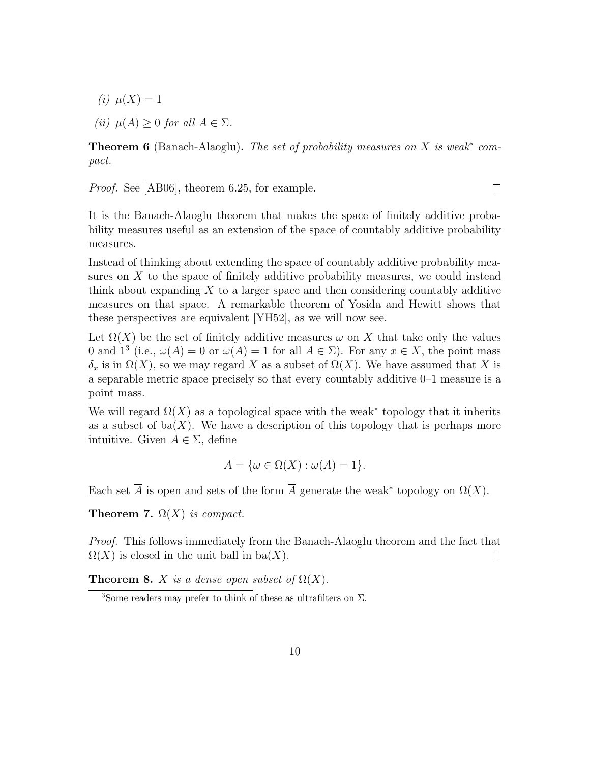(*i*)  $\mu(X) = 1$ 

(ii)  $\mu(A) > 0$  for all  $A \in \Sigma$ .

**Theorem 6** (Banach-Alaoglu). The set of probability measures on  $X$  is weak<sup>\*</sup> compact.

Proof. See [AB06], theorem 6.25, for example.

It is the Banach-Alaoglu theorem that makes the space of finitely additive probability measures useful as an extension of the space of countably additive probability measures.

Instead of thinking about extending the space of countably additive probability measures on  $X$  to the space of finitely additive probability measures, we could instead think about expanding  $X$  to a larger space and then considering countably additive measures on that space. A remarkable theorem of Yosida and Hewitt shows that these perspectives are equivalent [YH52], as we will now see.

Let  $\Omega(X)$  be the set of finitely additive measures  $\omega$  on X that take only the values 0 and 1<sup>3</sup> (i.e.,  $\omega(A) = 0$  or  $\omega(A) = 1$  for all  $A \in \Sigma$ ). For any  $x \in X$ , the point mass  $\delta_x$  is in  $\Omega(X)$ , so we may regard X as a subset of  $\Omega(X)$ . We have assumed that X is a separable metric space precisely so that every countably additive 0–1 measure is a point mass.

We will regard  $\Omega(X)$  as a topological space with the weak<sup>\*</sup> topology that it inherits as a subset of  $ba(X)$ . We have a description of this topology that is perhaps more intuitive. Given  $A \in \Sigma$ , define

$$
\overline{A} = \{ \omega \in \Omega(X) : \omega(A) = 1 \}.
$$

Each set  $\overline{A}$  is open and sets of the form  $\overline{A}$  generate the weak\* topology on  $\Omega(X)$ .

**Theorem 7.**  $\Omega(X)$  is compact.

Proof. This follows immediately from the Banach-Alaoglu theorem and the fact that  $\Omega(X)$  is closed in the unit ball in ba(X).  $\Box$ 

**Theorem 8.** X is a dense open subset of  $\Omega(X)$ .

 $\Box$ 

<sup>&</sup>lt;sup>3</sup>Some readers may prefer to think of these as ultrafilters on  $\Sigma$ .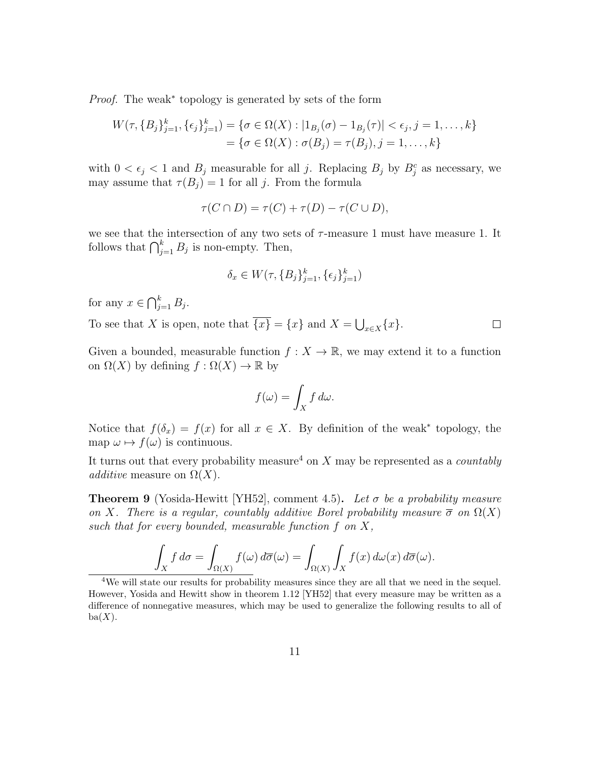Proof. The weak<sup>\*</sup> topology is generated by sets of the form

$$
W(\tau, \{B_j\}_{j=1}^k, \{\epsilon_j\}_{j=1}^k) = \{\sigma \in \Omega(X) : |1_{B_j}(\sigma) - 1_{B_j}(\tau)| < \epsilon_j, j = 1, \dots, k\}
$$
  
=  $\{\sigma \in \Omega(X) : \sigma(B_j) = \tau(B_j), j = 1, \dots, k\}$ 

with  $0 < \epsilon_j < 1$  and  $B_j$  measurable for all j. Replacing  $B_j$  by  $B_j^c$  as necessary, we may assume that  $\tau(B_j) = 1$  for all j. From the formula

$$
\tau(C \cap D) = \tau(C) + \tau(D) - \tau(C \cup D),
$$

we see that the intersection of any two sets of  $\tau$ -measure 1 must have measure 1. It follows that  $\bigcap_{j=1}^k B_j$  is non-empty. Then,

$$
\delta_x \in W(\tau, \{B_j\}_{j=1}^k, \{\epsilon_j\}_{j=1}^k)
$$

for any  $x \in \bigcap_{j=1}^k B_j$ .

To see that X is open, note that  $\{x\} = \{x\}$  and  $X = \bigcup_{x \in X} \{x\}.$  $\Box$ 

Given a bounded, measurable function  $f: X \to \mathbb{R}$ , we may extend it to a function on  $\Omega(X)$  by defining  $f : \Omega(X) \to \mathbb{R}$  by

$$
f(\omega) = \int_X f \, d\omega.
$$

Notice that  $f(\delta_x) = f(x)$  for all  $x \in X$ . By definition of the weak<sup>\*</sup> topology, the map  $\omega \mapsto f(\omega)$  is continuous.

It turns out that every probability measure<sup>4</sup> on X may be represented as a *countably* additive measure on  $\Omega(X)$ .

**Theorem 9** (Yosida-Hewitt [YH52], comment 4.5). Let  $\sigma$  be a probability measure on X. There is a regular, countably additive Borel probability measure  $\bar{\sigma}$  on  $\Omega(X)$ such that for every bounded, measurable function  $f$  on  $X$ ,

$$
\int_X f \, d\sigma = \int_{\Omega(X)} f(\omega) \, d\overline{\sigma}(\omega) = \int_{\Omega(X)} \int_X f(x) \, d\omega(x) \, d\overline{\sigma}(\omega).
$$

<sup>4</sup>We will state our results for probability measures since they are all that we need in the sequel. However, Yosida and Hewitt show in theorem 1.12 [YH52] that every measure may be written as a difference of nonnegative measures, which may be used to generalize the following results to all of  $ba(X)$ .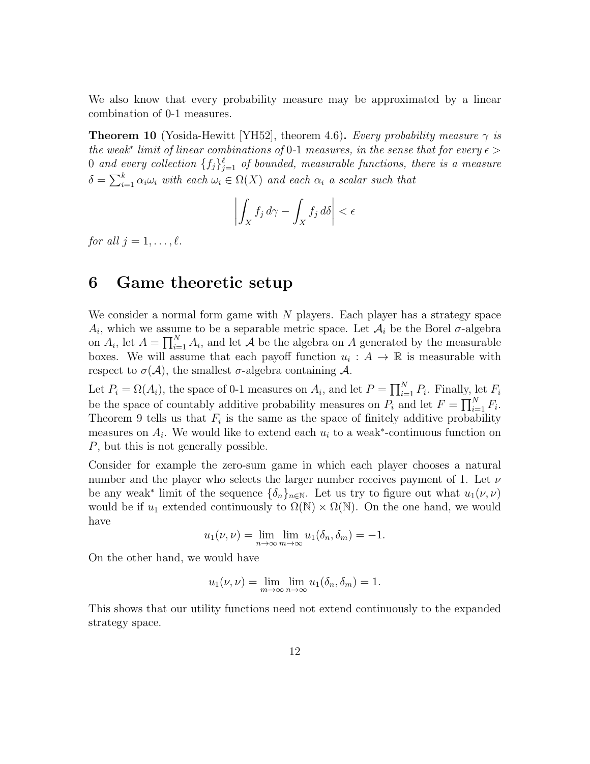We also know that every probability measure may be approximated by a linear combination of 0-1 measures.

**Theorem 10** (Yosida-Hewitt [YH52], theorem 4.6). Every probability measure  $\gamma$  is the weak<sup>\*</sup> limit of linear combinations of 0-1 measures, in the sense that for every  $\epsilon$  > 0 and every collection  $\{f_j\}_{j=1}^{\ell}$  of bounded, measurable functions, there is a measure  $\delta = \sum_{i=1}^{k} \alpha_i \omega_i$  with each  $\omega_i \in \Omega(X)$  and each  $\alpha_i$  a scalar such that

$$
\left| \int_X f_j \, d\gamma - \int_X f_j \, d\delta \right| < \epsilon
$$

for all  $i = 1, \ldots, \ell$ .

#### 6 Game theoretic setup

We consider a normal form game with  $N$  players. Each player has a strategy space  $A_i$ , which we assume to be a separable metric space. Let  $A_i$  be the Borel  $\sigma$ -algebra on  $A_i$ , let  $A = \prod_{i=1}^{N} A_i$ , and let  $A$  be the algebra on A generated by the measurable boxes. We will assume that each payoff function  $u_i : A \to \mathbb{R}$  is measurable with respect to  $\sigma(\mathcal{A})$ , the smallest  $\sigma$ -algebra containing  $\mathcal{A}$ .

Let  $P_i = \Omega(A_i)$ , the space of 0-1 measures on  $A_i$ , and let  $P = \prod_{i=1}^{N} P_i$ . Finally, let  $F_i$ be the space of countably additive probability measures on  $P_i$  and let  $F = \prod_{i=1}^N F_i$ . Theorem 9 tells us that  $F_i$  is the same as the space of finitely additive probability measures on  $A_i$ . We would like to extend each  $u_i$  to a weak<sup>\*</sup>-continuous function on P, but this is not generally possible.

Consider for example the zero-sum game in which each player chooses a natural number and the player who selects the larger number receives payment of 1. Let  $\nu$ be any weak<sup>\*</sup> limit of the sequence  $\{\delta_n\}_{n\in\mathbb{N}}$ . Let us try to figure out what  $u_1(\nu,\nu)$ would be if  $u_1$  extended continuously to  $\Omega(\mathbb{N}) \times \Omega(\mathbb{N})$ . On the one hand, we would have

$$
u_1(\nu,\nu) = \lim_{n \to \infty} \lim_{m \to \infty} u_1(\delta_n, \delta_m) = -1.
$$

On the other hand, we would have

$$
u_1(\nu,\nu)=\lim_{m\to\infty}\lim_{n\to\infty}u_1(\delta_n,\delta_m)=1.
$$

This shows that our utility functions need not extend continuously to the expanded strategy space.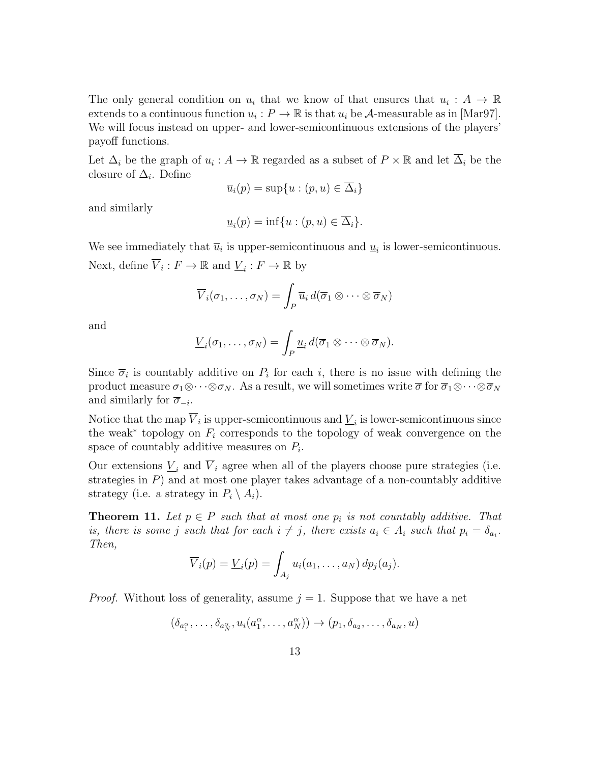The only general condition on  $u_i$  that we know of that ensures that  $u_i : A \to \mathbb{R}$ extends to a continuous function  $u_i: P \to \mathbb{R}$  is that  $u_i$  be  $\mathcal{A}$ -measurable as in [Mar97]. We will focus instead on upper- and lower-semicontinuous extensions of the players' payoff functions.

Let  $\Delta_i$  be the graph of  $u_i: A \to \mathbb{R}$  regarded as a subset of  $P \times \mathbb{R}$  and let  $\overline{\Delta}_i$  be the closure of  $\Delta_i$ . Define

$$
\overline{u}_i(p) = \sup\{u : (p, u) \in \overline{\Delta}_i\}
$$

and similarly

$$
\underline{u}_i(p) = \inf\{u : (p, u) \in \overline{\Delta}_i\}.
$$

We see immediately that  $\overline{u}_i$  is upper-semicontinuous and  $\underline{u}_i$  is lower-semicontinuous. Next, define  $\overline{V}_i : F \to \mathbb{R}$  and  $\underline{V}_i : F \to \mathbb{R}$  by

$$
\overline{V}_i(\sigma_1,\ldots,\sigma_N)=\int_P \overline{u}_i d(\overline{\sigma}_1\otimes\cdots\otimes\overline{\sigma}_N)
$$

and

$$
\underline{V}_i(\sigma_1,\ldots,\sigma_N)=\int_P \underline{u}_i d(\overline{\sigma}_1\otimes\cdots\otimes\overline{\sigma}_N).
$$

Since  $\overline{\sigma}_i$  is countably additive on  $P_i$  for each i, there is no issue with defining the product measure  $\sigma_1\otimes\cdots\otimes\sigma_N$ . As a result, we will sometimes write  $\overline{\sigma}$  for  $\overline{\sigma}_1\otimes\cdots\otimes\overline{\sigma}_N$ and similarly for  $\overline{\sigma}_{-i}$ .

Notice that the map  $\overline{V}_i$  is upper-semicontinuous and  $\underline{V}_i$  is lower-semicontinuous since the weak<sup>∗</sup> topology on  $F_i$  corresponds to the topology of weak convergence on the space of countably additive measures on  $P_i$ .

Our extensions  $\underline{V}_i$  and  $\overline{V}_i$  agree when all of the players choose pure strategies (i.e. strategies in  $P$ ) and at most one player takes advantage of a non-countably additive strategy (i.e. a strategy in  $P_i \setminus A_i$ ).

**Theorem 11.** Let  $p \in P$  such that at most one  $p_i$  is not countably additive. That is, there is some j such that for each  $i \neq j$ , there exists  $a_i \in A_i$  such that  $p_i = \delta_{a_i}$ . Then,

$$
\overline{V}_i(p) = \underline{V}_i(p) = \int_{A_j} u_i(a_1,\ldots,a_N) dp_j(a_j).
$$

*Proof.* Without loss of generality, assume  $j = 1$ . Suppose that we have a net

$$
(\delta_{a_1^{\alpha}},\ldots,\delta_{a_N^{\alpha}},u_i(a_1^{\alpha},\ldots,a_N^{\alpha})) \rightarrow (p_1,\delta_{a_2},\ldots,\delta_{a_N},u)
$$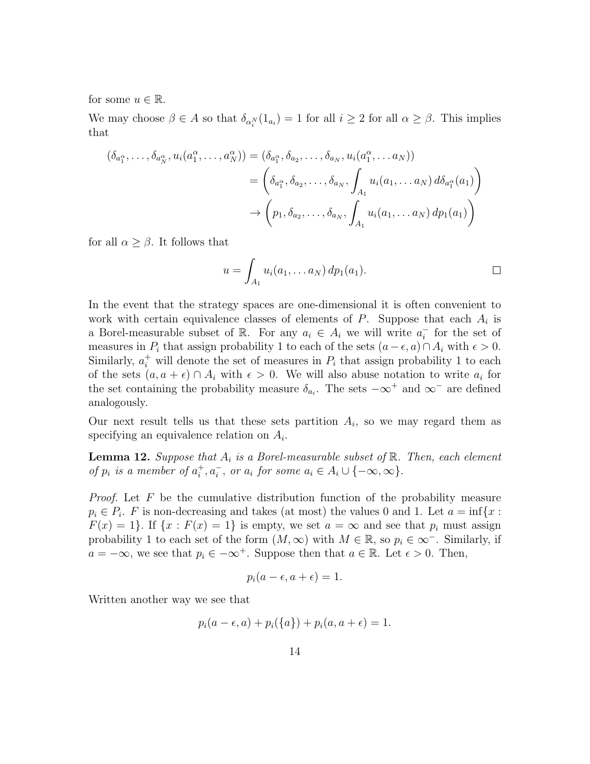for some  $u \in \mathbb{R}$ .

We may choose  $\beta \in A$  so that  $\delta_{\alpha_i^N}(1_{a_i}) = 1$  for all  $i \geq 2$  for all  $\alpha \geq \beta$ . This implies that

$$
(\delta_{a_1^{\alpha}}, \ldots, \delta_{a_N^{\alpha}}, u_i(a_1^{\alpha}, \ldots, a_N^{\alpha})) = (\delta_{a_1^{\alpha}}, \delta_{a_2}, \ldots, \delta_{a_N}, u_i(a_1^{\alpha}, \ldots a_N))
$$
  

$$
= \left( \delta_{a_1^{\alpha}}, \delta_{a_2}, \ldots, \delta_{a_N}, \int_{A_1} u_i(a_1, \ldots a_N) d\delta_{a_1^{\alpha}}(a_1) \right)
$$
  

$$
\rightarrow \left( p_1, \delta_{a_2}, \ldots, \delta_{a_N}, \int_{A_1} u_i(a_1, \ldots a_N) dp_1(a_1) \right)
$$

for all  $\alpha \geq \beta$ . It follows that

$$
u = \int_{A_1} u_i(a_1, \dots a_N) dp_1(a_1).
$$

In the event that the strategy spaces are one-dimensional it is often convenient to work with certain equivalence classes of elements of  $P$ . Suppose that each  $A_i$  is a Borel-measurable subset of R. For any  $a_i \in A_i$  we will write  $a_i^ \overline{i}$  for the set of measures in  $P_i$  that assign probability 1 to each of the sets  $(a - \epsilon, a) \cap A_i$  with  $\epsilon > 0$ . Similarly,  $a_i^+$  will denote the set of measures in  $P_i$  that assign probability 1 to each of the sets  $(a, a + \epsilon) \cap A_i$  with  $\epsilon > 0$ . We will also abuse notation to write  $a_i$  for the set containing the probability measure  $\delta_{a_i}$ . The sets  $-\infty^+$  and  $\infty^-$  are defined analogously.

Our next result tells us that these sets partition  $A_i$ , so we may regard them as specifying an equivalence relation on  $A_i$ .

**Lemma 12.** Suppose that  $A_i$  is a Borel-measurable subset of  $\mathbb{R}$ . Then, each element of  $p_i$  is a member of  $a_i^+$  $i^+, a_i^-, \text{ or } a_i \text{ for some } a_i \in A_i \cup \{-\infty, \infty\}.$ 

*Proof.* Let  $F$  be the cumulative distribution function of the probability measure  $p_i \in P_i$ . F is non-decreasing and takes (at most) the values 0 and 1. Let  $a = \inf\{x :$  $F(x) = 1$ . If  $\{x : F(x) = 1\}$  is empty, we set  $a = \infty$  and see that  $p_i$  must assign probability 1 to each set of the form  $(M, \infty)$  with  $M \in \mathbb{R}$ , so  $p_i \in \infty$ <sup>-</sup>. Similarly, if  $a = -\infty$ , we see that  $p_i \in -\infty^+$ . Suppose then that  $a \in \mathbb{R}$ . Let  $\epsilon > 0$ . Then,

$$
p_i(a-\epsilon, a+\epsilon) = 1.
$$

Written another way we see that

$$
p_i(a - \epsilon, a) + p_i({a}) + p_i(a, a + \epsilon) = 1.
$$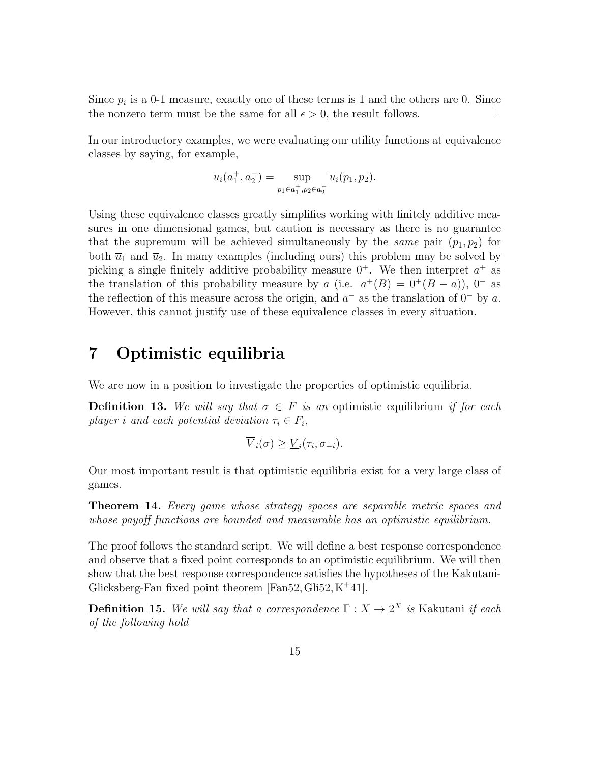Since  $p_i$  is a 0-1 measure, exactly one of these terms is 1 and the others are 0. Since the nonzero term must be the same for all  $\epsilon > 0$ , the result follows.  $\Box$ 

In our introductory examples, we were evaluating our utility functions at equivalence classes by saying, for example,

$$
\overline{u}_i(a_1^+, a_2^-) = \sup_{p_1 \in a_1^+, p_2 \in a_2^-} \overline{u}_i(p_1, p_2).
$$

Using these equivalence classes greatly simplifies working with finitely additive measures in one dimensional games, but caution is necessary as there is no guarantee that the supremum will be achieved simultaneously by the *same* pair  $(p_1, p_2)$  for both  $\overline{u}_1$  and  $\overline{u}_2$ . In many examples (including ours) this problem may be solved by picking a single finitely additive probability measure  $0^+$ . We then interpret  $a^+$  as the translation of this probability measure by a (i.e.  $a^+(B) = 0^+(B - a)$ ), 0<sup>-</sup> as the reflection of this measure across the origin, and  $a^-$  as the translation of  $0^-$  by a. However, this cannot justify use of these equivalence classes in every situation.

#### 7 Optimistic equilibria

We are now in a position to investigate the properties of optimistic equilibria.

**Definition 13.** We will say that  $\sigma \in F$  is an optimistic equilibrium if for each player i and each potential deviation  $\tau_i \in F_i$ ,

$$
\overline{V}_i(\sigma) \geq \underline{V}_i(\tau_i, \sigma_{-i}).
$$

Our most important result is that optimistic equilibria exist for a very large class of games.

Theorem 14. Every game whose strategy spaces are separable metric spaces and whose payoff functions are bounded and measurable has an optimistic equilibrium.

The proof follows the standard script. We will define a best response correspondence and observe that a fixed point corresponds to an optimistic equilibrium. We will then show that the best response correspondence satisfies the hypotheses of the Kakutani-Glicksberg-Fan fixed point theorem  $[Fan52, Gil52, K^+41]$ .

**Definition 15.** We will say that a correspondence  $\Gamma: X \to 2^X$  is Kakutani if each of the following hold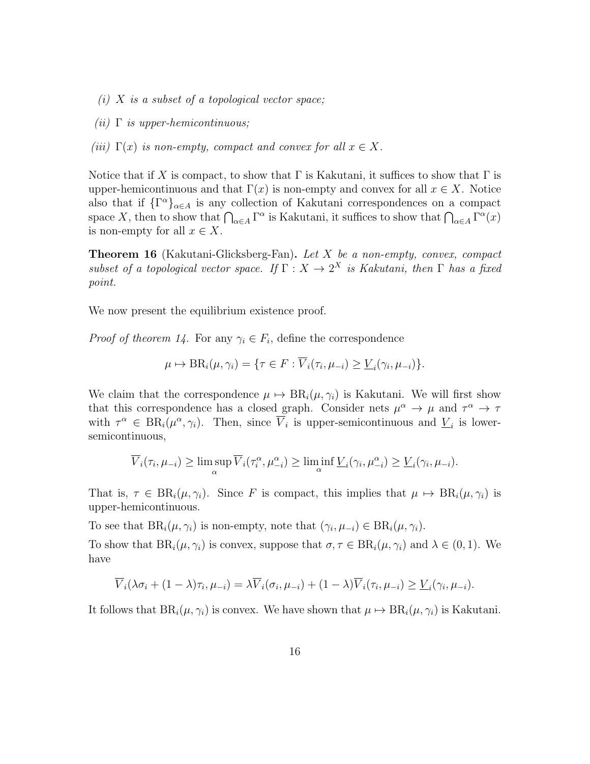- (i)  $X$  is a subset of a topological vector space;
- (*ii*)  $\Gamma$  *is upper-hemicontinuous*;
- (iii)  $\Gamma(x)$  is non-empty, compact and convex for all  $x \in X$ .

Notice that if X is compact, to show that  $\Gamma$  is Kakutani, it suffices to show that  $\Gamma$  is upper-hemicontinuous and that  $\Gamma(x)$  is non-empty and convex for all  $x \in X$ . Notice also that if  $\{\Gamma^{\alpha}\}_{\alpha \in A}$  is any collection of Kakutani correspondences on a compact space X, then to show that  $\bigcap_{\alpha\in A}\Gamma^{\alpha}$  is Kakutani, it suffices to show that  $\bigcap_{\alpha\in A}\Gamma^{\alpha}(x)$ is non-empty for all  $x \in X$ .

Theorem 16 (Kakutani-Glicksberg-Fan). Let X be a non-empty, convex, compact subset of a topological vector space. If  $\Gamma : X \to 2^X$  is Kakutani, then  $\Gamma$  has a fixed point.

We now present the equilibrium existence proof.

*Proof of theorem 14.* For any  $\gamma_i \in F_i$ , define the correspondence

$$
\mu \mapsto \text{BR}_i(\mu, \gamma_i) = \{ \tau \in F : \overline{V}_i(\tau_i, \mu_{-i}) \ge \underline{V}_i(\gamma_i, \mu_{-i}) \}.
$$

We claim that the correspondence  $\mu \mapsto BR_i(\mu, \gamma_i)$  is Kakutani. We will first show that this correspondence has a closed graph. Consider nets  $\mu^{\alpha} \to \mu$  and  $\tau^{\alpha} \to \tau$ with  $\tau^{\alpha} \in BR_i(\mu^{\alpha}, \gamma_i)$ . Then, since  $\overline{V}_i$  is upper-semicontinuous and  $\underline{V}_i$  is lowersemicontinuous,

$$
\overline{V}_i(\tau_i, \mu_{-i}) \ge \limsup_{\alpha} \overline{V}_i(\tau_i^{\alpha}, \mu_{-i}^{\alpha}) \ge \liminf_{\alpha} \underline{V}_i(\gamma_i, \mu_{-i}^{\alpha}) \ge \underline{V}_i(\gamma_i, \mu_{-i}).
$$

That is,  $\tau \in BR_i(\mu, \gamma_i)$ . Since F is compact, this implies that  $\mu \mapsto BR_i(\mu, \gamma_i)$  is upper-hemicontinuous.

To see that  $BR_i(\mu, \gamma_i)$  is non-empty, note that  $(\gamma_i, \mu_{-i}) \in BR_i(\mu, \gamma_i)$ .

To show that  $BR_i(\mu, \gamma_i)$  is convex, suppose that  $\sigma, \tau \in BR_i(\mu, \gamma_i)$  and  $\lambda \in (0, 1)$ . We have

$$
\overline{V}_i(\lambda \sigma_i + (1 - \lambda)\tau_i, \mu_{-i}) = \lambda \overline{V}_i(\sigma_i, \mu_{-i}) + (1 - \lambda)\overline{V}_i(\tau_i, \mu_{-i}) \ge \underline{V}_i(\gamma_i, \mu_{-i}).
$$

It follows that  $BR_i(\mu, \gamma_i)$  is convex. We have shown that  $\mu \mapsto BR_i(\mu, \gamma_i)$  is Kakutani.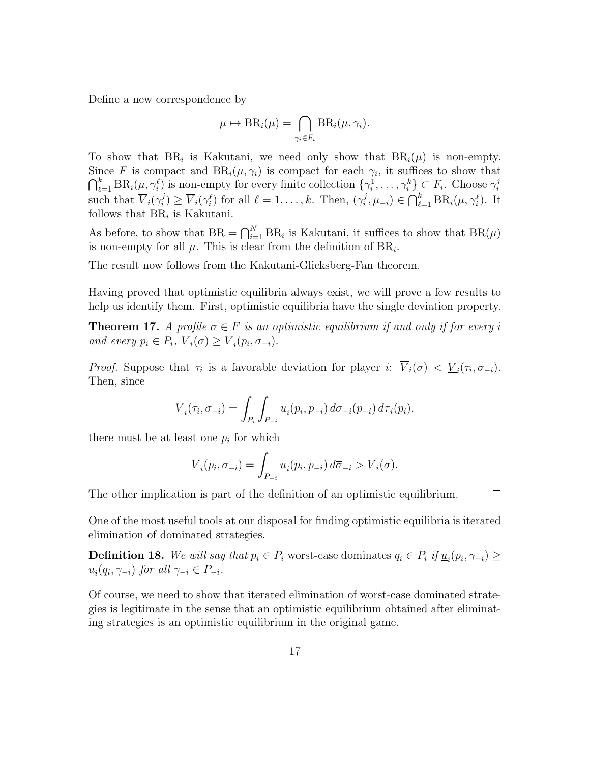Define a new correspondence by

$$
\mu \mapsto \text{BR}_i(\mu) = \bigcap_{\gamma_i \in F_i} \text{BR}_i(\mu, \gamma_i).
$$

To show that  $BR_i$  is Kakutani, we need only show that  $BR_i(\mu)$  is non-empty. Since F is compact and  $BR_i(\mu, \gamma_i)$  is compact for each  $\gamma_i$ , it suffices to show that  $\bigcap_{\ell=1}^k \text{BR}_i(\mu, \gamma_i^{\ell})$  is non-empty for every finite collection  $\{\gamma_i^1, \ldots, \gamma_i^k\} \subset F_i$ . Choose  $\gamma_i^j$ i such that  $\overline{V}_i(\gamma_i^j)$  $\overline{V}_i^j$ )  $\geq \overline{V}_i(\gamma_i^{\ell})$  for all  $\ell = 1, \ldots, k$ . Then,  $(\gamma_i^j)$  $j, \mu_{-i}) \in \bigcap_{\ell=1}^k \text{BR}_i(\mu, \gamma_i^{\ell})$ . It follows that  $BR_i$  is Kakutani.

As before, to show that  $BR = \bigcap_{i=1}^{N} BR_i$  is Kakutani, it suffices to show that  $BR(\mu)$ is non-empty for all  $\mu$ . This is clear from the definition of  $BR_i$ .

The result now follows from the Kakutani-Glicksberg-Fan theorem.

$$
\Box
$$

Having proved that optimistic equilibria always exist, we will prove a few results to help us identify them. First, optimistic equilibria have the single deviation property.

**Theorem 17.** A profile  $\sigma \in F$  is an optimistic equilibrium if and only if for every i and every  $p_i \in P_i$ ,  $\overline{V}_i(\sigma) \geq \underline{V}_i(p_i, \sigma_{-i}).$ 

*Proof.* Suppose that  $\tau_i$  is a favorable deviation for player i:  $V_i(\sigma) < \underline{V}_i(\tau_i, \sigma_{-i})$ . Then, since

$$
\underline{V}_i(\tau_i, \sigma_{-i}) = \int_{P_i} \int_{P_{-i}} \underline{u}_i(p_i, p_{-i}) d\overline{\sigma}_{-i}(p_{-i}) d\overline{\tau}_i(p_i).
$$

there must be at least one  $p_i$  for which

$$
\underline{V}_i(p_i, \sigma_{-i}) = \int_{P_{-i}} \underline{u}_i(p_i, p_{-i}) d\overline{\sigma}_{-i} > \overline{V}_i(\sigma).
$$

The other implication is part of the definition of an optimistic equilibrium.  $\Box$ 

One of the most useful tools at our disposal for finding optimistic equilibria is iterated elimination of dominated strategies.

**Definition 18.** We will say that  $p_i \in P_i$  worst-case dominates  $q_i \in P_i$  if  $\underline{u}_i(p_i, \gamma_{-i}) \geq$  $\underline{u}_i(q_i, \gamma_{-i})$  for all  $\gamma_{-i} \in P_{-i}$ .

Of course, we need to show that iterated elimination of worst-case dominated strategies is legitimate in the sense that an optimistic equilibrium obtained after eliminating strategies is an optimistic equilibrium in the original game.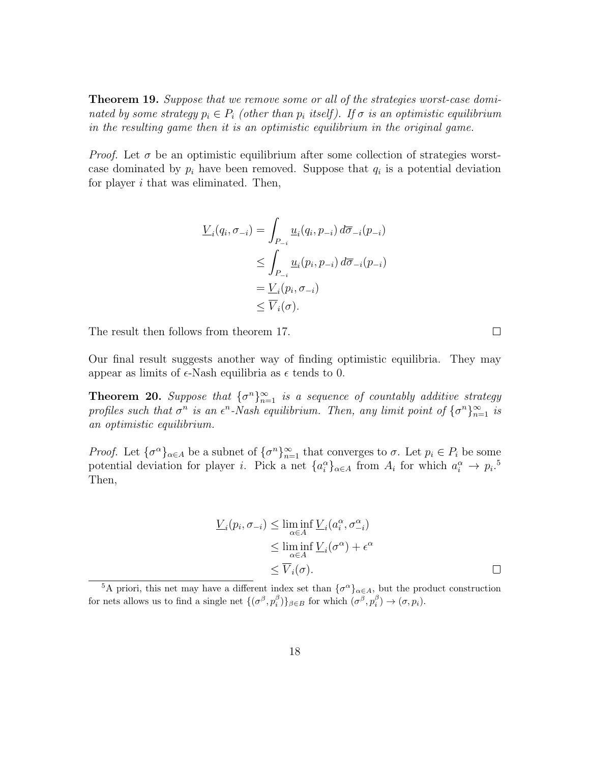**Theorem 19.** Suppose that we remove some or all of the strategies worst-case dominated by some strategy  $p_i \in P_i$  (other than  $p_i$  itself). If  $\sigma$  is an optimistic equilibrium in the resulting game then it is an optimistic equilibrium in the original game.

*Proof.* Let  $\sigma$  be an optimistic equilibrium after some collection of strategies worstcase dominated by  $p_i$  have been removed. Suppose that  $q_i$  is a potential deviation for player i that was eliminated. Then,

$$
\underline{V}_i(q_i, \sigma_{-i}) = \int_{P_{-i}} \underline{u}_i(q_i, p_{-i}) d\overline{\sigma}_{-i}(p_{-i})
$$
\n
$$
\leq \int_{P_{-i}} \underline{u}_i(p_i, p_{-i}) d\overline{\sigma}_{-i}(p_{-i})
$$
\n
$$
= \underline{V}_i(p_i, \sigma_{-i})
$$
\n
$$
\leq \overline{V}_i(\sigma).
$$

The result then follows from theorem 17.

Our final result suggests another way of finding optimistic equilibria. They may appear as limits of  $\epsilon$ -Nash equilibria as  $\epsilon$  tends to 0.

**Theorem 20.** Suppose that  $\{\sigma^n\}_{n=1}^{\infty}$  is a sequence of countably additive strategy profiles such that  $\sigma^n$  is an  $\epsilon^n$ -Nash equilibrium. Then, any limit point of  $\{\sigma^n\}_{n=1}^{\infty}$  is an optimistic equilibrium.

*Proof.* Let  $\{\sigma^{\alpha}\}_{{\alpha}\in A}$  be a subnet of  $\{\sigma^n\}_{n=1}^{\infty}$  that converges to  $\sigma$ . Let  $p_i \in P_i$  be some potential deviation for player *i*. Pick a net  $\{a_i^{\alpha}\}_{{\alpha \in A}}$  from  $A_i$  for which  $a_i^{\alpha} \to p_i$ <sup>5</sup> Then,

$$
\underline{V}_i(p_i, \sigma_{-i}) \le \liminf_{\alpha \in A} \underline{V}_i(a_i^{\alpha}, \sigma_{-i}^{\alpha})
$$
\n
$$
\le \liminf_{\alpha \in A} \underline{V}_i(\sigma^{\alpha}) + \epsilon^{\alpha}
$$
\n
$$
\le \overline{V}_i(\sigma).
$$

 $\Box$ 

<sup>&</sup>lt;sup>5</sup>A priori, this net may have a different index set than  $\{\sigma^{\alpha}\}_{\alpha \in A}$ , but the product construction for nets allows us to find a single net  $\{(\sigma^{\beta}, p_i^{\beta})\}_{\beta \in B}$  for which  $(\sigma^{\beta}, p_i^{\beta}) \to (\sigma, p_i)$ .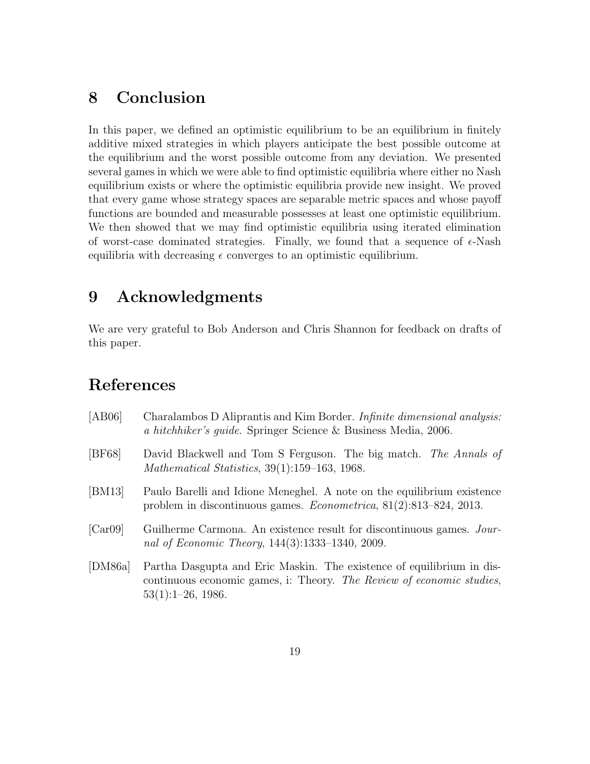## 8 Conclusion

In this paper, we defined an optimistic equilibrium to be an equilibrium in finitely additive mixed strategies in which players anticipate the best possible outcome at the equilibrium and the worst possible outcome from any deviation. We presented several games in which we were able to find optimistic equilibria where either no Nash equilibrium exists or where the optimistic equilibria provide new insight. We proved that every game whose strategy spaces are separable metric spaces and whose payoff functions are bounded and measurable possesses at least one optimistic equilibrium. We then showed that we may find optimistic equilibria using iterated elimination of worst-case dominated strategies. Finally, we found that a sequence of  $\epsilon$ -Nash equilibria with decreasing  $\epsilon$  converges to an optimistic equilibrium.

#### 9 Acknowledgments

We are very grateful to Bob Anderson and Chris Shannon for feedback on drafts of this paper.

### References

| [AB06]  | Charalambos D Aliprantis and Kim Border. Infinite dimensional analysis:<br>a hitchhiker's quide. Springer Science & Business Media, 2006.                              |
|---------|------------------------------------------------------------------------------------------------------------------------------------------------------------------------|
| [BF68]  | David Blackwell and Tom S Ferguson. The big match. The Annals of<br>Mathematical Statistics, 39(1):159–163, 1968.                                                      |
| [BM13]  | Paulo Barelli and Idione Meneghel. A note on the equilibrium existence<br>problem in discontinuous games. <i>Econometrica</i> , $81(2):813-824$ , $2013$ .             |
| [Car09] | Guilherme Carmona. An existence result for discontinuous games. Jour-<br>nal of Economic Theory, 144(3):1333-1340, 2009.                                               |
| [DM86a] | Partha Dasgupta and Eric Maskin. The existence of equilibrium in dis-<br>continuous economic games, i: Theory. The Review of economic studies,<br>$53(1):1-26$ , 1986. |